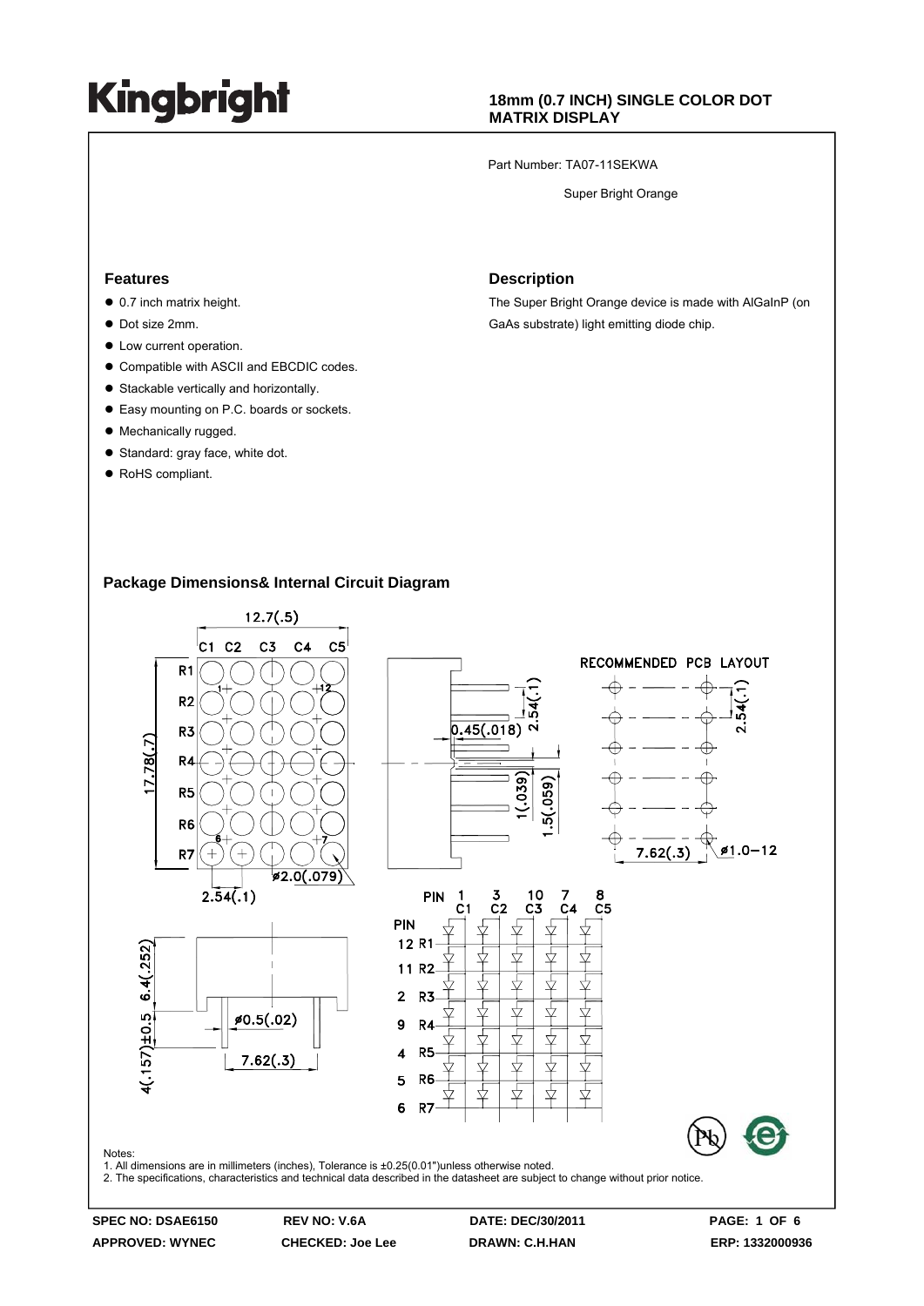### **18mm (0.7 INCH) SINGLE COLOR DOT MATRIX DISPLAY**

Part Number: TA07-11SEKWA

Super Bright Orange

#### **Features**

- $\bullet$  0.7 inch matrix height.
- $\bullet$  Dot size 2mm.
- $\bullet$  Low current operation.
- Compatible with ASCII and EBCDIC codes.
- $\bullet$  Stackable vertically and horizontally.
- Easy mounting on P.C. boards or sockets.
- Mechanically rugged.
- Standard: gray face, white dot.
- RoHS compliant.

#### **Description**

The Super Bright Orange device is made with AlGaInP (on GaAs substrate) light emitting diode chip.

### **Package Dimensions& Internal Circuit Diagram**



**APPROVED: WYNEC CHECKED: Joe Lee DRAWN: C.H.HAN ERP: 1332000936**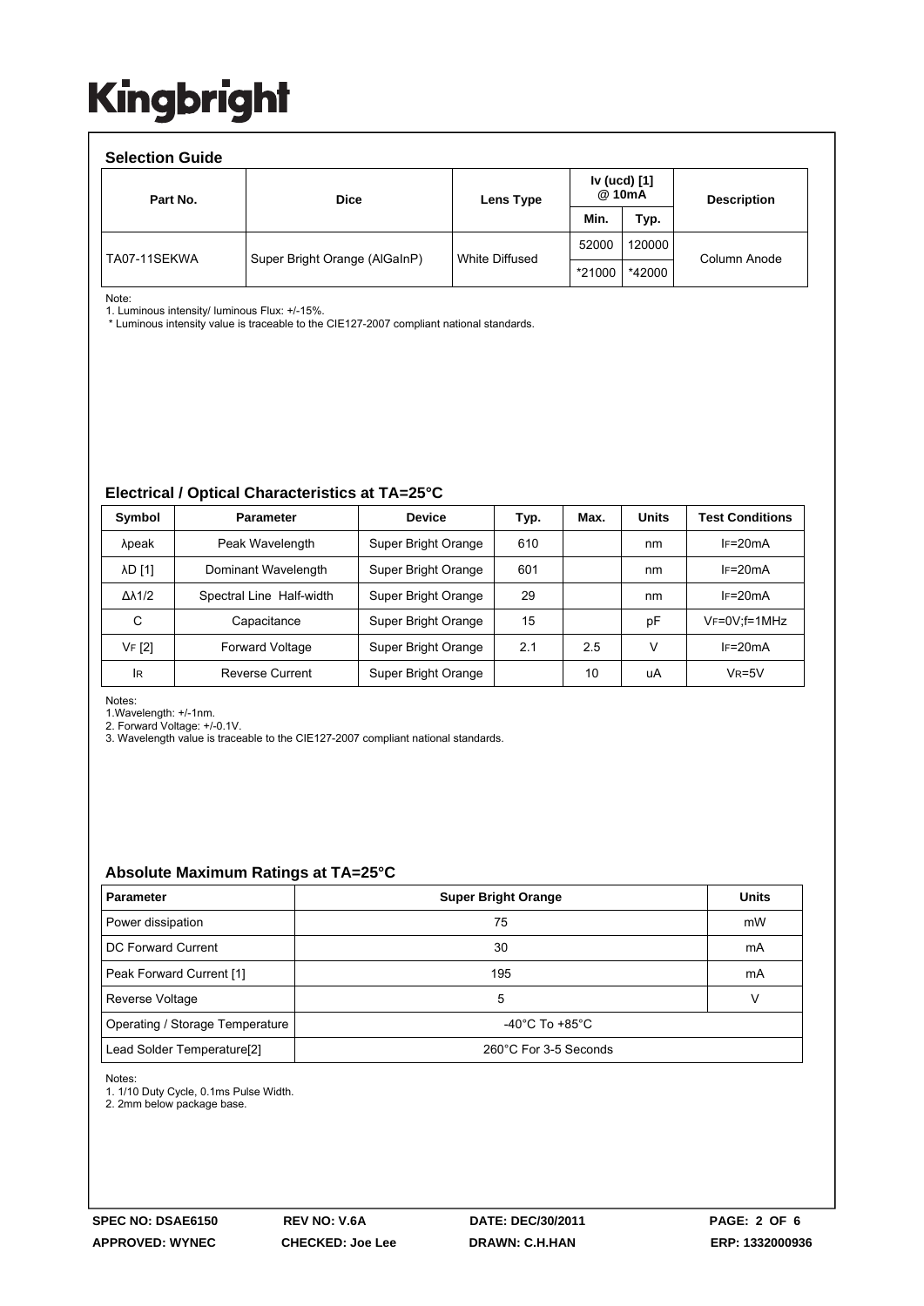| <b>Selection Guide</b> |                               |                |                        |        |                    |  |  |  |  |
|------------------------|-------------------------------|----------------|------------------------|--------|--------------------|--|--|--|--|
| Part No.               | <b>Dice</b>                   | Lens Type      | Iv (ucd) [1]<br>@ 10mA |        | <b>Description</b> |  |  |  |  |
|                        |                               |                | Min.                   | Typ.   |                    |  |  |  |  |
| TA07-11SEKWA           | Super Bright Orange (AlGaInP) | White Diffused | 52000                  | 120000 | Column Anode       |  |  |  |  |
|                        |                               |                | *21000                 | *42000 |                    |  |  |  |  |

Note:

1. Luminous intensity/ luminous Flux: +/-15%.

\* Luminous intensity value is traceable to the CIE127-2007 compliant national standards.

#### **Electrical / Optical Characteristics at TA=25°C**

| Symbol              | <b>Parameter</b>         | <b>Device</b>       | Typ. | Max. | <b>Units</b> | <b>Test Conditions</b> |
|---------------------|--------------------------|---------------------|------|------|--------------|------------------------|
| λpeak               | Peak Wavelength          | Super Bright Orange | 610  |      | nm           | $IF=20mA$              |
| <b>AD [1]</b>       | Dominant Wavelength      | Super Bright Orange | 601  |      | nm           | $IF=20mA$              |
| $\Delta\lambda$ 1/2 | Spectral Line Half-width | Super Bright Orange | 29   |      | nm           | $I = 20mA$             |
| С                   | Capacitance              | Super Bright Orange | 15   |      | рF           | $V_F = 0V$ ; f = 1MHz  |
| VF [2]              | <b>Forward Voltage</b>   | Super Bright Orange | 2.1  | 2.5  | V            | $IF=20mA$              |
| <b>IR</b>           | Reverse Current          | Super Bright Orange |      | 10   | uA           | $V_R = 5V$             |

Notes:

1.Wavelength: +/-1nm.

2. Forward Voltage: +/-0.1V. 3. Wavelength value is traceable to the CIE127-2007 compliant national standards.

#### **Absolute Maximum Ratings at TA=25°C**

| <b>Parameter</b>                                                      | <b>Super Bright Orange</b> | <b>Units</b> |  |
|-----------------------------------------------------------------------|----------------------------|--------------|--|
| Power dissipation                                                     | 75                         | mW           |  |
| DC Forward Current                                                    | 30                         | mA           |  |
| Peak Forward Current [1]                                              | 195                        | mA           |  |
| Reverse Voltage                                                       | 5                          | v            |  |
| Operating / Storage Temperature<br>$-40^{\circ}$ C To $+85^{\circ}$ C |                            |              |  |
| Lead Solder Temperature <sup>[2]</sup>                                | 260°C For 3-5 Seconds      |              |  |

Notes:

1. 1/10 Duty Cycle, 0.1ms Pulse Width.

2. 2mm below package base.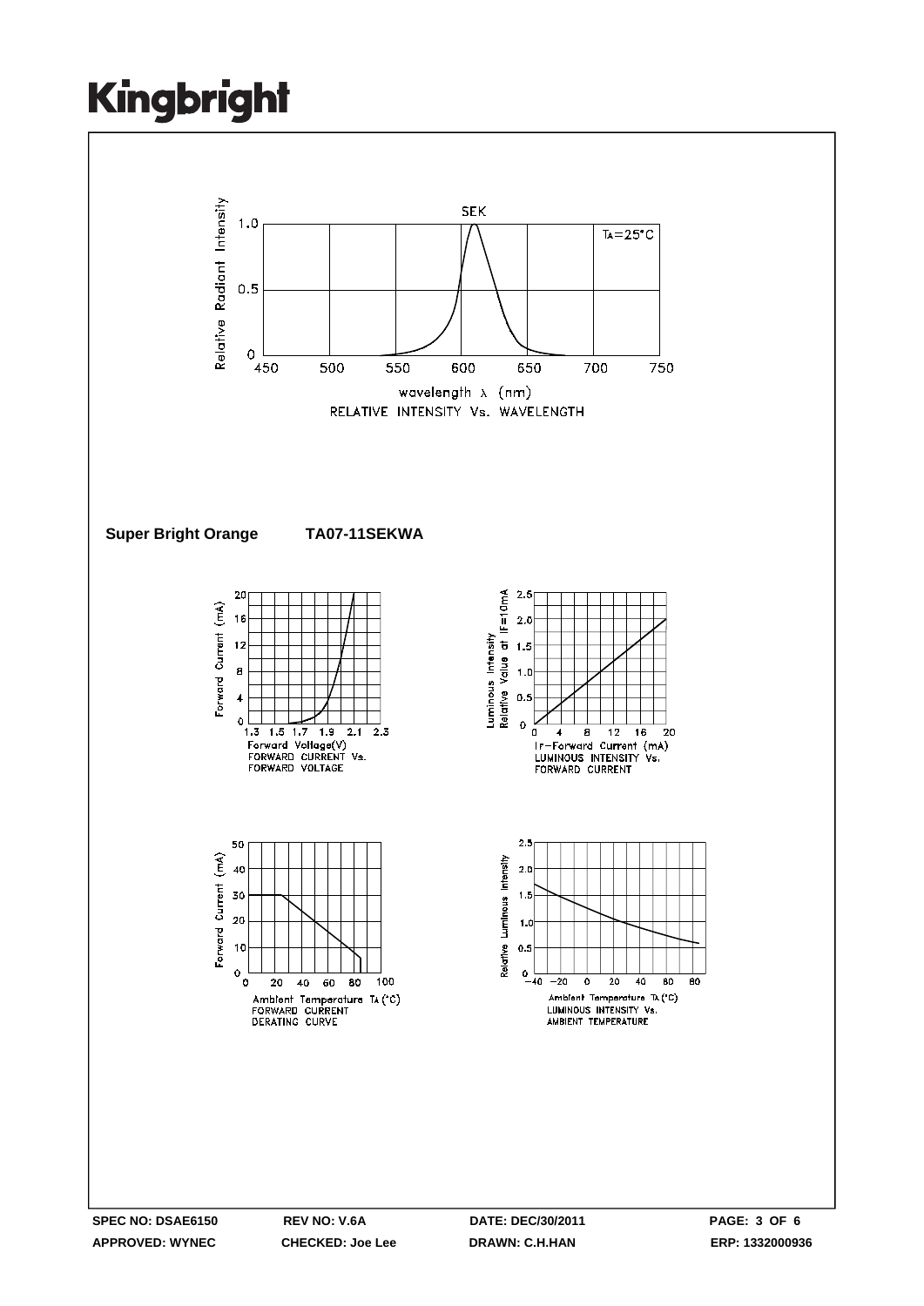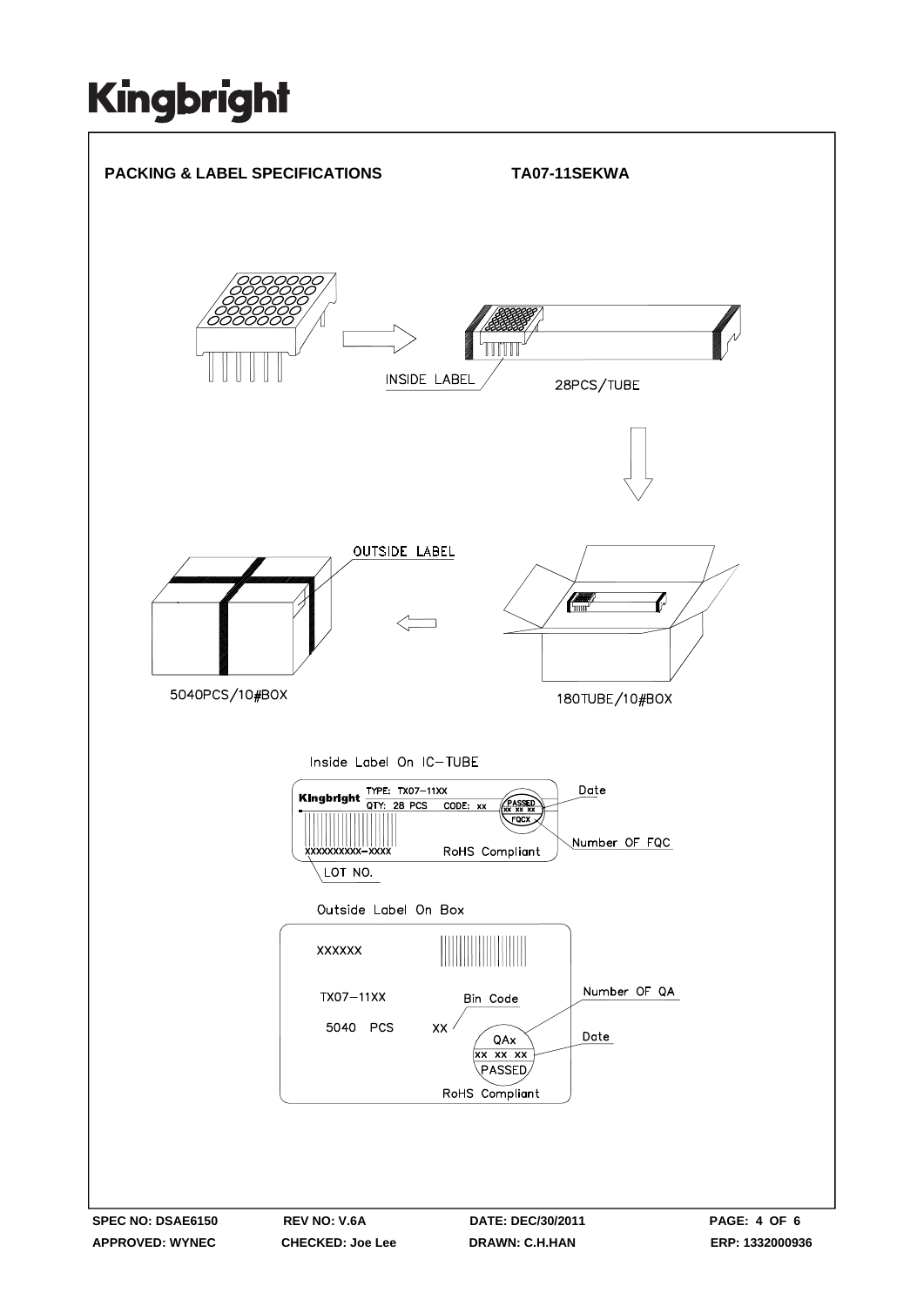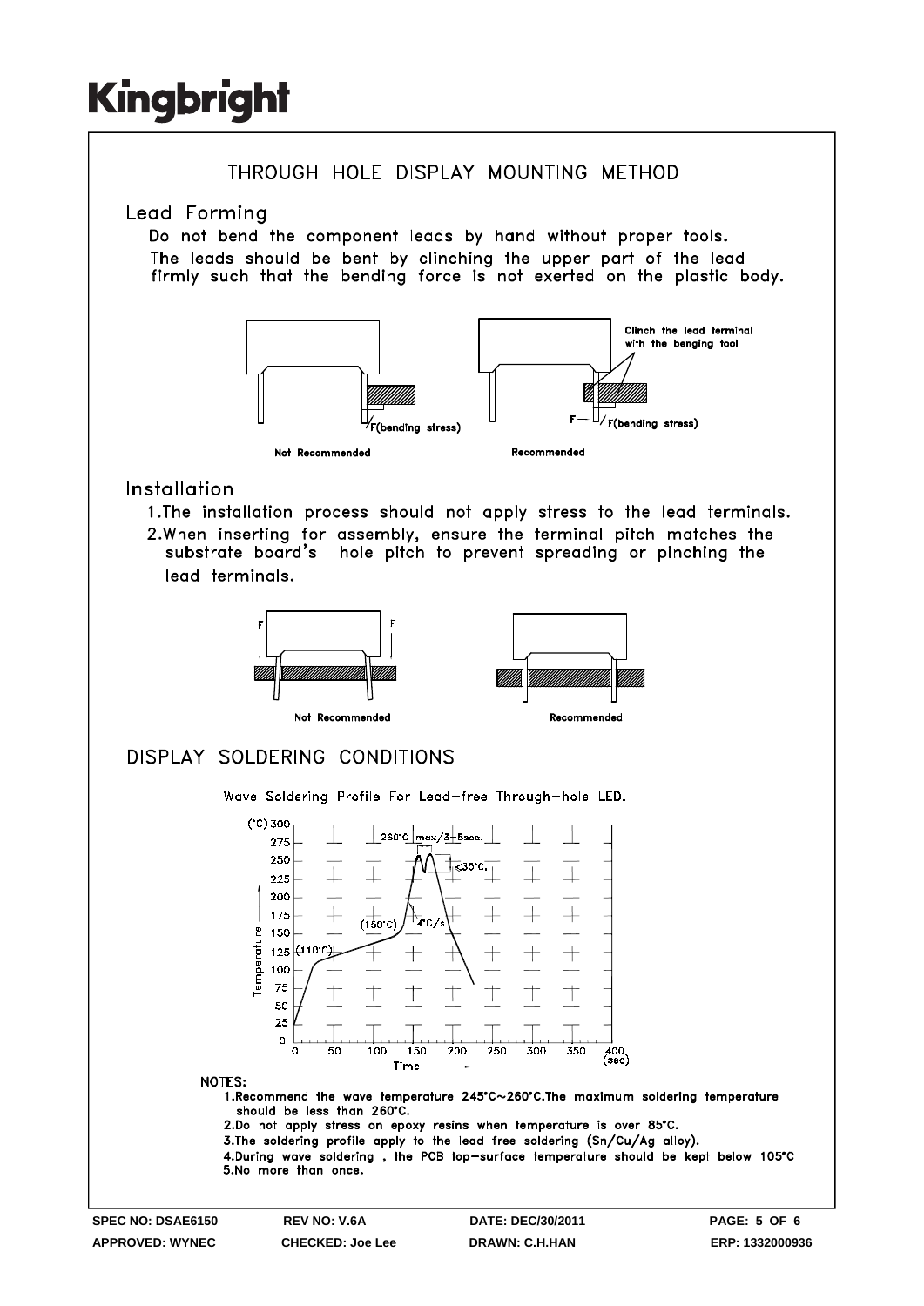